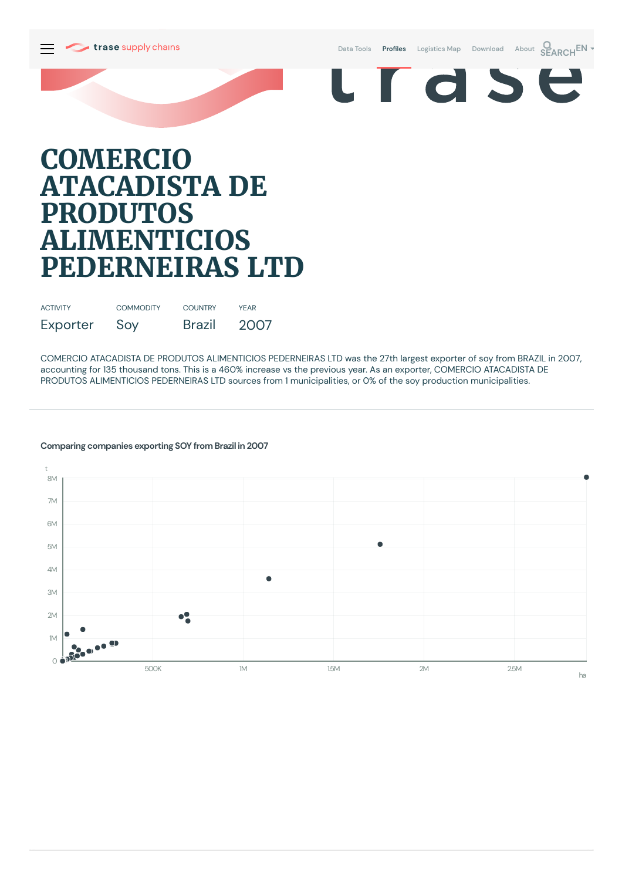



# **COMERCIO ATACADISTA DE PRODUTOS ALIMENTICIOS PEDERNEIRAS LTD**

| <b>ACTIVITY</b> | <b>COMMODITY</b> | <b>COUNTRY</b> | <b>YFAR</b> |
|-----------------|------------------|----------------|-------------|
| Exporter        | Soy              | Brazil         | 2007        |

COMERCIO ATACADISTA DE PRODUTOS ALIMENTICIOS PEDERNEIRAS LTD was the 27th largest exporter of soy from BRAZIL in 2007, accounting for 135 thousand tons. This is a 460% increase vs the previous year. As an exporter, COMERCIO ATACADISTA DE PRODUTOS ALIMENTICIOS PEDERNEIRAS LTD sources from 1 municipalities, or 0% of the soy production municipalities.

## **Comparing companies exporting SOY from Brazil in 2007**